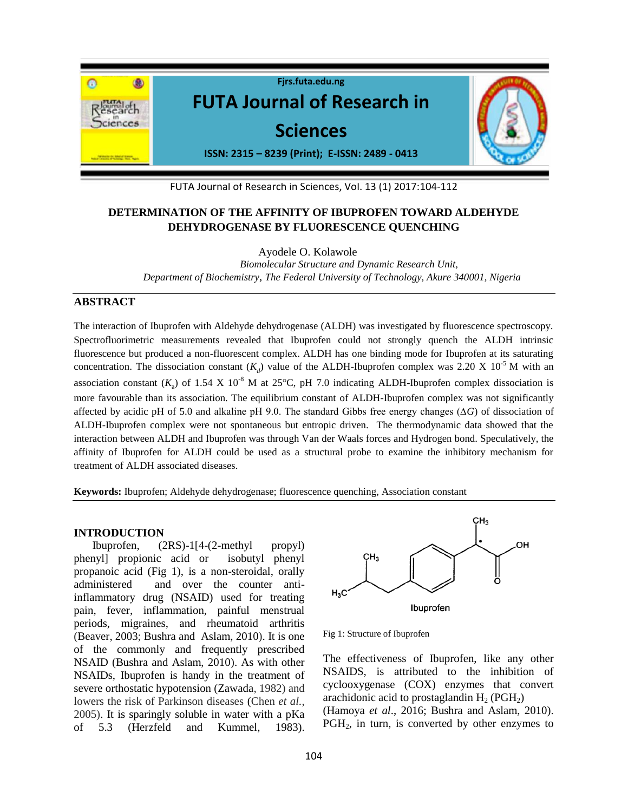

FUTA Journal of Research in Sciences, Vol. 13 (1) 2017:104-112

# **DETERMINATION OF THE AFFINITY OF IBUPROFEN TOWARD ALDEHYDE DEHYDROGENASE BY FLUORESCENCE QUENCHING**

Ayodele O. Kolawole *Biomolecular Structure and Dynamic Research Unit, Department of Biochemistry*, *The Federal University of Technology, Akure 340001, Nigeria*

### **ABSTRACT**

The interaction of Ibuprofen with Aldehyde dehydrogenase (ALDH) was investigated by fluorescence spectroscopy. Spectrofluorimetric measurements revealed that Ibuprofen could not strongly quench the ALDH intrinsic fluorescence but produced a non-fluorescent complex. ALDH has one binding mode for Ibuprofen at its saturating concentration. The dissociation constant  $(K_d)$  value of the ALDH-Ibuprofen complex was 2.20 X 10<sup>-5</sup> M with an association constant  $(K_a)$  of 1.54 X 10<sup>-8</sup> M at 25<sup>o</sup>C, pH 7.0 indicating ALDH-Ibuprofen complex dissociation is more favourable than its association. The equilibrium constant of ALDH-Ibuprofen complex was not significantly affected by acidic pH of 5.0 and alkaline pH 9.0. The standard Gibbs free energy changes (∆*G*) of dissociation of ALDH-Ibuprofen complex were not spontaneous but entropic driven. The thermodynamic data showed that the interaction between ALDH and Ibuprofen was through Van der Waals forces and Hydrogen bond. Speculatively, the affinity of Ibuprofen for ALDH could be used as a structural probe to examine the inhibitory mechanism for treatment of ALDH associated diseases.

**Keywords:** Ibuprofen; Aldehyde dehydrogenase; fluorescence quenching, Association constant

#### **INTRODUCTION**

Ibuprofen, (2RS)-1[4-(2-methyl propyl) phenyl] propionic acid or isobutyl phenyl propanoic acid (Fig 1), is a non-steroidal, orally administered and over the counter antiinflammatory drug (NSAID) used for treating pain, fever, inflammation, painful menstrual periods, migraines, and rheumatoid arthritis (Beaver, 2003; Bushra and Aslam, 2010). It is one of the commonly and frequently prescribed NSAID (Bushra and Aslam, 2010). As with other NSAIDs, Ibuprofen is handy in the treatment of severe orthostatic hypotension (Zawada, 1982) and lowers the risk of Parkinson diseases (Chen *et al.*, 2005). It is sparingly soluble in water with a pKa of 5.3 (Herzfeld and Kummel, 1983).



Fig 1: Structure of Ibuprofen

The effectiveness of Ibuprofen, like any other NSAIDS, is attributed to the inhibition of cyclooxygenase (COX) enzymes that convert arachidonic acid to prostaglandin  $H_2$  (PGH<sub>2</sub>) (Hamoya *et al*., 2016; Bushra and Aslam, 2010). PGH<sub>2</sub>, in turn, is converted by other enzymes to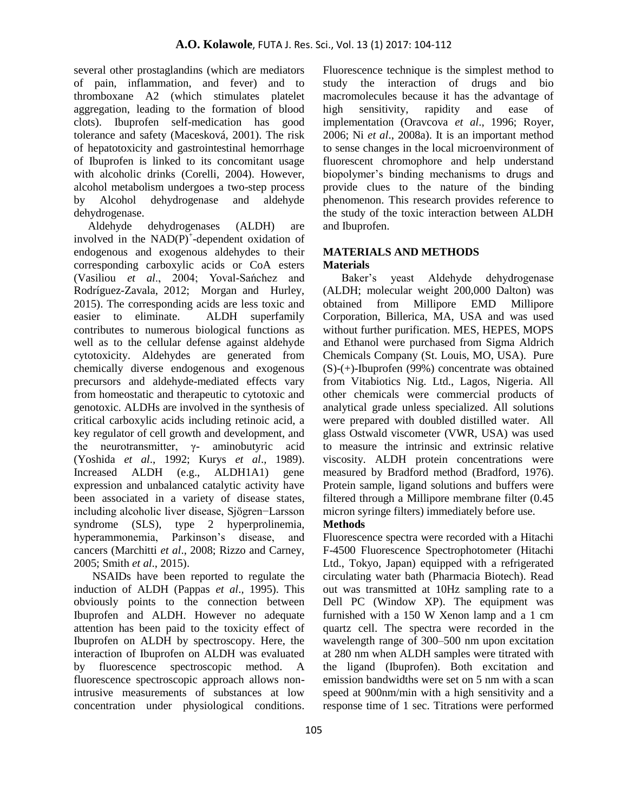several other prostaglandins (which are mediators of pain, inflammation, and fever) and to thromboxane A2 (which stimulates platelet aggregation, leading to the formation of blood clots). Ibuprofen self-medication has good tolerance and safety (Macesková, 2001). The risk of hepatotoxicity and gastrointestinal hemorrhage of Ibuprofen is linked to its concomitant usage with alcoholic drinks (Corelli, 2004). However, alcohol metabolism undergoes a two-step process by Alcohol dehydrogenase and aldehyde dehydrogenase.

 Aldehyde dehydrogenases (ALDH) are involved in the  $NAD(P)^+$ -dependent oxidation of endogenous and exogenous aldehydes to their corresponding carboxylic acids or CoA esters (Vasiliou *et al.*, 2004; Yoval-Sanchez and Rodríguez-Zavala, 2012; Morgan and Hurley, 2015). The corresponding acids are less toxic and easier to eliminate. ALDH superfamily contributes to numerous biological functions as well as to the cellular defense against aldehyde cytotoxicity. Aldehydes are generated from chemically diverse endogenous and exogenous precursors and aldehyde-mediated effects vary from homeostatic and therapeutic to cytotoxic and genotoxic. ALDHs are involved in the synthesis of critical carboxylic acids including retinoic acid, a key regulator of cell growth and development, and the neurotransmitter,  $\gamma$ - aminobutyric acid (Yoshida *et al*., 1992; Kurys *et al*., 1989). Increased ALDH (e.g., ALDH1A1) gene expression and unbalanced catalytic activity have been associated in a variety of disease states, including alcoholic liver disease, Sjögren−Larsson syndrome (SLS), type 2 hyperprolinemia, hyperammonemia, Parkinson's disease, and cancers (Marchitti *et al*., 2008; Rizzo and Carney, 2005; Smith *et al*., 2015).

NSAIDs have been reported to regulate the induction of ALDH (Pappas *et al*., 1995). This obviously points to the connection between Ibuprofen and ALDH. However no adequate attention has been paid to the toxicity effect of Ibuprofen on ALDH by spectroscopy. Here, the interaction of Ibuprofen on ALDH was evaluated by fluorescence spectroscopic method. A fluorescence spectroscopic approach allows nonintrusive measurements of substances at low concentration under physiological conditions. Fluorescence technique is the simplest method to study the interaction of drugs and bio macromolecules because it has the advantage of high sensitivity, rapidity and ease of implementation (Oravcova *et al*., 1996; Royer, 2006; Ni *et al*., 2008a). It is an important method to sense changes in the local microenvironment of fluorescent chromophore and help understand biopolymer's binding mechanisms to drugs and provide clues to the nature of the binding phenomenon. This research provides reference to the study of the toxic interaction between ALDH and Ibuprofen.

# **MATERIALS AND METHODS Materials**

Baker's yeast Aldehyde dehydrogenase (ALDH; molecular weight 200,000 Dalton) was obtained from Millipore EMD Millipore Corporation, Billerica, MA, USA and was used without further purification. MES, HEPES, MOPS and Ethanol were purchased from Sigma Aldrich Chemicals Company (St. Louis, MO, USA). Pure (S)-(+)-Ibuprofen (99%) concentrate was obtained from Vitabiotics Nig. Ltd., Lagos, Nigeria. All other chemicals were commercial products of analytical grade unless specialized. All solutions were prepared with doubled distilled water. All glass Ostwald viscometer (VWR, USA) was used to measure the intrinsic and extrinsic relative viscosity. ALDH protein concentrations were measured by Bradford method (Bradford, 1976). Protein sample, ligand solutions and buffers were filtered through a Millipore membrane filter (0.45 micron syringe filters) immediately before use.

# **Methods**

Fluorescence spectra were recorded with a Hitachi F-4500 Fluorescence Spectrophotometer (Hitachi Ltd., Tokyo, Japan) equipped with a refrigerated circulating water bath (Pharmacia Biotech). Read out was transmitted at 10Hz sampling rate to a Dell PC (Window XP). The equipment was furnished with a 150 W Xenon lamp and a 1 cm quartz cell. The spectra were recorded in the wavelength range of 300–500 nm upon excitation at 280 nm when ALDH samples were titrated with the ligand (Ibuprofen). Both excitation and emission bandwidths were set on 5 nm with a scan speed at 900nm/min with a high sensitivity and a response time of 1 sec. Titrations were performed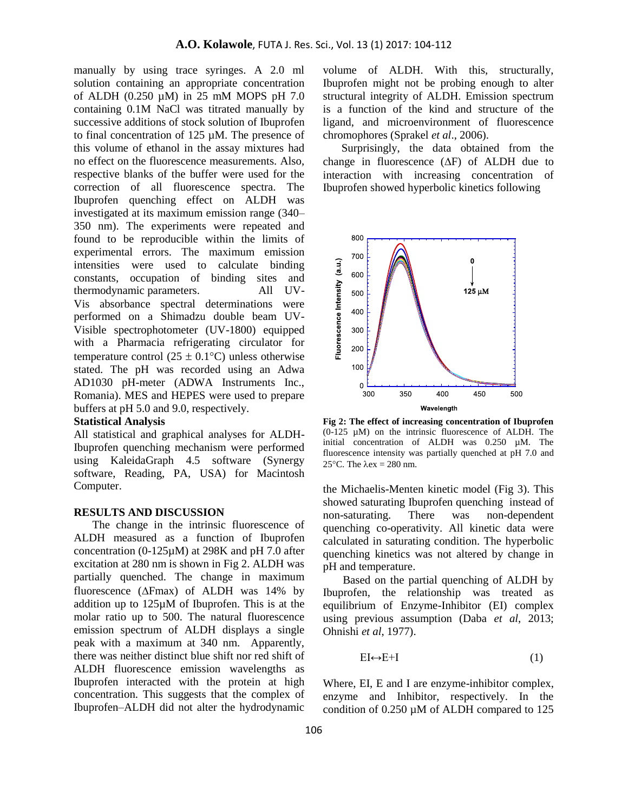manually by using trace syringes. A 2.0 ml solution containing an appropriate concentration of ALDH (0.250 µM) in 25 mM MOPS pH 7.0 containing 0.1M NaCl was titrated manually by successive additions of stock solution of Ibuprofen to final concentration of 125 µM. The presence of this volume of ethanol in the assay mixtures had no effect on the fluorescence measurements. Also, respective blanks of the buffer were used for the correction of all fluorescence spectra. The Ibuprofen quenching effect on ALDH was investigated at its maximum emission range (340– 350 nm). The experiments were repeated and found to be reproducible within the limits of experimental errors. The maximum emission intensities were used to calculate binding constants, occupation of binding sites and thermodynamic parameters. All UV-Vis absorbance spectral determinations were performed on a Shimadzu double beam UV-Visible spectrophotometer (UV-1800) equipped with a Pharmacia refrigerating circulator for temperature control (25  $\pm$  0.1<sup>o</sup>C) unless otherwise stated. The pH was recorded using an Adwa AD1030 pH-meter (ADWA Instruments Inc., Romania). MES and HEPES were used to prepare buffers at pH 5.0 and 9.0, respectively.

# **Statistical Analysis**

All statistical and graphical analyses for ALDH-Ibuprofen quenching mechanism were performed using KaleidaGraph 4.5 software (Synergy software, Reading, PA, USA) for Macintosh Computer.

# **RESULTS AND DISCUSSION**

The change in the intrinsic fluorescence of ALDH measured as a function of Ibuprofen concentration (0-125µM) at 298K and pH 7.0 after excitation at 280 nm is shown in Fig 2. ALDH was partially quenched. The change in maximum fluorescence ( $\Delta$ Fmax) of ALDH was 14% by addition up to 125µM of Ibuprofen. This is at the molar ratio up to 500. The natural fluorescence emission spectrum of ALDH displays a single peak with a maximum at 340 nm. Apparently, there was neither distinct blue shift nor red shift of ALDH fluorescence emission wavelengths as Ibuprofen interacted with the protein at high concentration. This suggests that the complex of Ibuprofen–ALDH did not alter the hydrodynamic

volume of ALDH. With this, structurally, Ibuprofen might not be probing enough to alter structural integrity of ALDH. Emission spectrum is a function of the kind and structure of the ligand, and microenvironment of fluorescence chromophores (Sprakel *et al*., 2006).

Surprisingly, the data obtained from the change in fluorescence  $(\Delta F)$  of ALDH due to interaction with increasing concentration of Ibuprofen showed hyperbolic kinetics following



**Fig 2: The effect of increasing concentration of Ibuprofen** (0-125 µM) on the intrinsic fluorescence of ALDH. The initial concentration of ALDH was 0.250 µM. The fluorescence intensity was partially quenched at pH 7.0 and 25 $\degree$ C. The  $\lambda$ ex = 280 nm.

the Michaelis-Menten kinetic model (Fig 3). This showed saturating Ibuprofen quenching instead of non-saturating. There was non-dependent quenching co-operativity. All kinetic data were calculated in saturating condition. The hyperbolic quenching kinetics was not altered by change in pH and temperature.

 Based on the partial quenching of ALDH by Ibuprofen, the relationship was treated as equilibrium of Enzyme-Inhibitor (EI) complex using previous assumption (Daba *et al*, 2013; Ohnishi *et al*, 1977).

$$
EI \leftrightarrow E + I \tag{1}
$$

Where, EI, E and I are enzyme-inhibitor complex, enzyme and Inhibitor, respectively. In the condition of 0.250 µM of ALDH compared to 125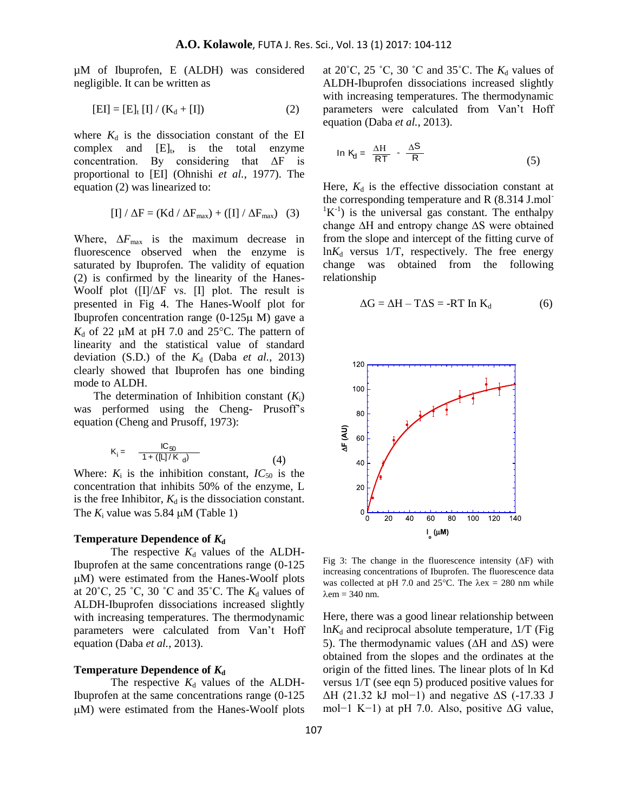µM of Ibuprofen, E (ALDH) was considered negligible. It can be written as

$$
[EI] = [E]_t [I] / (K_d + [I])
$$
 (2)

where  $K_d$  is the dissociation constant of the EI  $complex$  and  $[E]_t$ , is the total enzyme concentration. By considering that  $\Delta F$  is proportional to [EI] (Ohnishi *et al.*, 1977). The equation (2) was linearized to:

$$
[I] / \Delta F = (Kd / \Delta F_{max}) + ([I] / \Delta F_{max}) \quad (3)
$$

Where,  $\Delta F_{\text{max}}$  is the maximum decrease in fluorescence observed when the enzyme is saturated by Ibuprofen. The validity of equation (2) is confirmed by the linearity of the Hanes-Woolf plot  $(II/\Delta F$  vs.  $II$  plot. The result is presented in Fig 4. The Hanes-Woolf plot for Ibuprofen concentration range  $(0-125\mu)$  M) gave a  $K_d$  of 22  $\mu$ M at pH 7.0 and 25<sup>o</sup>C. The pattern of linearity and the statistical value of standard deviation (S.D.) of the  $K_d$  (Daba *et al.*, 2013) clearly showed that Ibuprofen has one binding mode to ALDH.

The determination of Inhibition constant  $(K_i)$ was performed using the Cheng- Prus of f's equation (Cheng and Prusoff, 1973):

$$
K_i = \frac{IC_{50}}{1 + ([L]/K_d)}
$$
 (4)

Where:  $K_i$  is the inhibition constant,  $IC_{50}$  is the concentration that inhibits 50% of the enzyme, L is the free Inhibitor,  $K_d$  is the dissociation constant. The  $K_i$  value was 5.84  $\mu$ M (Table 1)

#### **Temperature Dependence of**  $K_d$

The respective  $K_d$  values of the ALDH-Ibuprofen at the same concentrations range (0-125  $\mu$ M) were estimated from the Hanes-Woolf plots at 20 $\degree$ C, 25 $\degree$ C, 30 $\degree$ C and 35 $\degree$ C. The  $K_d$  values of ALDH-Ibuprofen dissociations increased slightly with increasing temperatures. The thermodynamic parameters were calculated from Van't Hoff equation (Daba *et al.*, 2013).

#### **Temperature Dependence of**  $K_d$

The respective  $K_d$  values of the ALDH-Ibuprofen at the same concentrations range (0-125  $\mu$ M) were estimated from the Hanes-Woolf plots at  $20^{\circ}$ C,  $25^{\circ}$ C,  $30^{\circ}$ C and  $35^{\circ}$ C. The  $K_d$  values of ALDH-Ibuprofen dissociations increased slightly with increasing temperatures. The thermodynamic parameters were calculated from Van't Hoff equation (Daba *et al.*, 2013).

$$
\ln K_{d} = \frac{\Delta H}{RT} - \frac{\Delta S}{R}
$$
 (5)

Here,  $K_d$  is the effective dissociation constant at the corresponding temperature and R (8.314 J.mol- ${}^{1}K^{-1}$ ) is the universal gas constant. The enthalpy change ∆H and entropy change ∆S were obtained from the slope and intercept of the fitting curve of  $ln K_d$  versus 1/T, respectively. The free energy change was obtained from the following relationship

$$
\Delta G = \Delta H - T\Delta S = -RT \ln K_d \tag{6}
$$



Fig 3: The change in the fluorescence intensity  $(\Delta F)$  with increasing concentrations of Ibuprofen. The fluorescence data was collected at pH 7.0 and 25 $^{\circ}$ C. The  $\lambda$ ex = 280 nm while  $\lambda$ em = 340 nm.

Here, there was a good linear relationship between  $ln K_d$  and reciprocal absolute temperature,  $1/T$  (Fig. 5). The thermodynamic values ( $\Delta H$  and  $\Delta S$ ) were obtained from the slopes and the ordinates at the origin of the fitted lines. The linear plots of ln Kd versus 1/T (see eqn 5) produced positive values for  $\Delta H$  (21.32 kJ mol−1) and negative  $\Delta S$  (-17.33 J mol−1 K−1) at pH 7.0. Also, positive  $\Delta G$  value,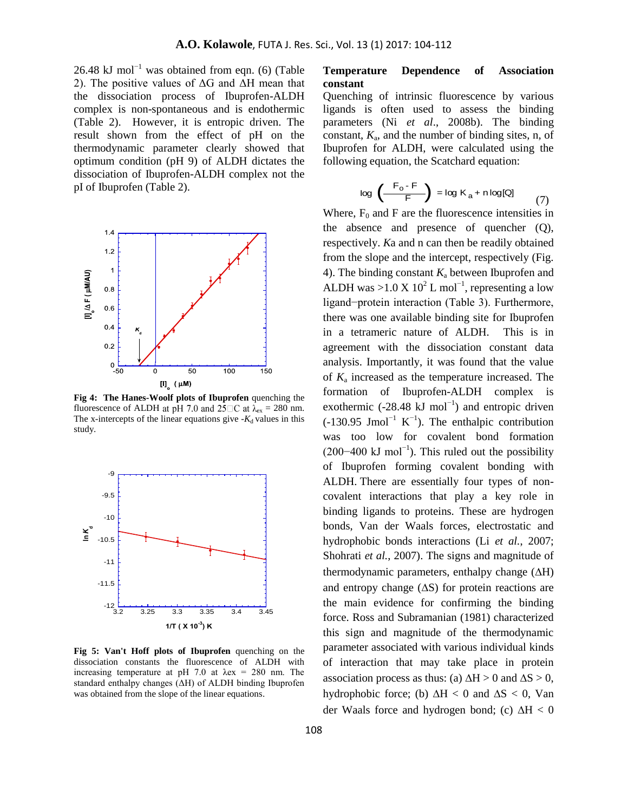26.48 kJ mol<sup>-1</sup> was obtained from eqn. (6) (Table 2). The positive values of  $\Delta G$  and  $\overline{\Delta H}$  mean that the dissociation process of Ibuprofen-ALDH complex is non-spontaneous and is endothermic (Table 2). However, it is entropic driven. The result shown from the effect of pH on the thermodynamic parameter clearly showed that optimum condition (pH 9) of ALDH dictates the dissociation of Ibuprofen-ALDH complex not the pI of Ibuprofen (Table 2).



**Fig 4: The Hanes-Woolf plots of Ibuprofen** quenching the fluorescence of ALDH at pH 7.0 and 25 $\Box$ C at  $\lambda_{ex} = 280$  nm. The x-intercepts of the linear equations give  $-K_d$  values in this study.



**Fig 5: Van't Hoff plots of Ibuprofen** quenching on the dissociation constants the fluorescence of ALDH with increasing temperature at pH 7.0 at  $\lambda$ ex = 280 nm. The standard enthalpy changes  $(ΔH)$  of ALDH binding Ibuprofen was obtained from the slope of the linear equations.

## **Temperature Dependence of Association constant**

Quenching of intrinsic fluorescence by various ligands is often used to assess the binding parameters (Ni *et al*., 2008b). The binding constant,  $K_a$ , and the number of binding sites, n, of Ibuprofen for ALDH, were calculated using the following equation, the Scatchard equation:

$$
\log \left( \frac{F_o - F}{F} \right) = \log K_a + n \log[Q] \tag{7}
$$

ALDH. There are essentially four types of non-Where,  $F_0$  and F are the fluorescence intensities in the absence and presence of quencher (Q), respectively. *K*a and n can then be readily obtained from the slope and the intercept, respectively (Fig. 4). The binding constant  $K_a$  between Ibuprofen and ALDH was >1.0 X  $10^2$  L mol<sup>-1</sup>, representing a low ligand–protein interaction (Table 3). Furthermore, there was one available binding site for Ibuprofen in a tetrameric nature of ALDH. This is in agreement with the dissociation constant data analysis. Importantly, it was found that the value of *K*<sup>a</sup> increased as the temperature increased. The formation of Ibuprofen-ALDH complex is exothermic (-28.48 kJ mol<sup>-1</sup>) and entropic driven  $(-130.95$  Jmol<sup>-1</sup> K<sup>-1</sup>). The enthalpic contribution was too low for covalent bond formation  $(200-400 \text{ kJ mol}^{-1})$ . This ruled out the possibility of Ibuprofen forming covalent bonding with covalent interactions that play a key role in binding ligands to proteins. These are hydrogen bonds, Van der Waals forces, electrostatic and hydrophobic bonds interactions (Li *et al.*, 2007; Shohrati *et al.*, 2007). The signs and magnitude of thermodynamic parameters, enthalpy change  $(\Delta H)$ and entropy change  $(\Delta S)$  for protein reactions are the main evidence for confirming the binding force. Ross and Subramanian (1981) characterized this sign and magnitude of the thermodynamic parameter associated with various individual kinds of interaction that may take place in protein association process as thus: (a)  $\Delta H > 0$  and  $\Delta S > 0$ , hydrophobic force; (b)  $\Delta H < 0$  and  $\Delta S < 0$ , Van der Waals force and hydrogen bond; (c)  $\Delta H < 0$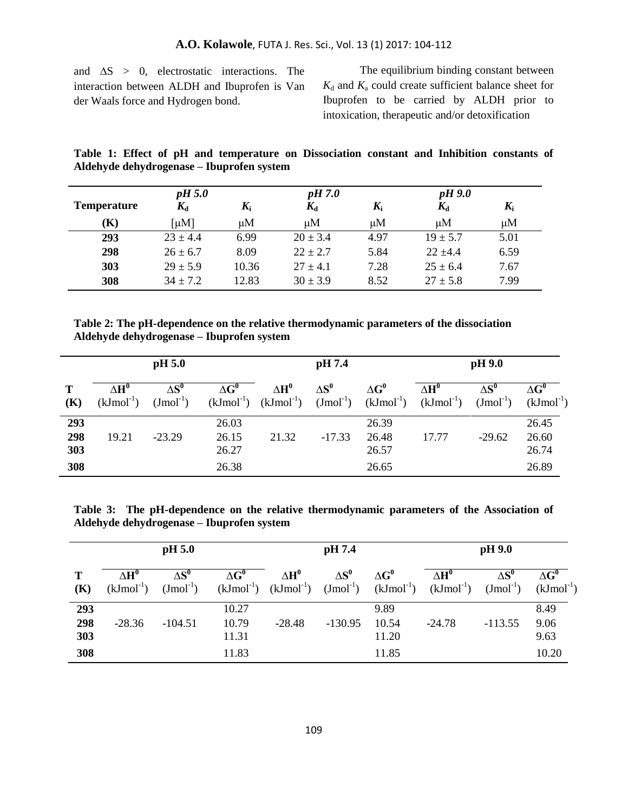and  $\Delta S > 0$ , electrostatic interactions. The interaction between ALDH and Ibuprofen is Van der Waals force and Hydrogen bond.

The equilibrium binding constant between  $K_d$  and  $K_a$  could create sufficient balance sheet for Ibuprofen to be carried by ALDH prior to intoxication, therapeutic and/or detoxification

**Table 1: Effect of pH and temperature on Dissociation constant and Inhibition constants of Aldehyde dehydrogenase – Ibuprofen system**

|                    | pH 5.0         |             | pH 7.0       |             | $pH$ 9.0     |             |
|--------------------|----------------|-------------|--------------|-------------|--------------|-------------|
| <b>Temperature</b> | $K_{\rm d}$    | $K_{\rm i}$ | $K_{\rm d}$  | $K_{\rm i}$ | $K_{\rm d}$  | $K_{\rm i}$ |
| (K)                | [µ $M$ ]<br>иM |             | $\mu$ M      | $\mu$ M     | иM           | $\mu$ M     |
| 293                | $23 \pm 4.4$   | 6.99        | $20 \pm 3.4$ | 4.97        | $19 \pm 5.7$ | 5.01        |
| 298                | $26 \pm 6.7$   | 8.09        | $22 \pm 2.7$ | 5.84        | $22 + 44$    | 6.59        |
| 303                | $29 \pm 5.9$   | 10.36       | $27 + 4.1$   | 7.28        | $25 \pm 6.4$ | 7.67        |
| 308                | $34 \pm 7.2$   | 12.83       | $30 \pm 3.9$ | 8.52        | $27 \pm 5.8$ | 7.99        |

**Table 2: The pH-dependence on the relative thermodynamic parameters of the dissociation Aldehyde dehydrogenase – Ibuprofen system**

|                          | pH 5.0                          |                                  |                                  | pH 7.4       |               |                                  | pH 9.0                                                                                                                 |                         |                                  |
|--------------------------|---------------------------------|----------------------------------|----------------------------------|--------------|---------------|----------------------------------|------------------------------------------------------------------------------------------------------------------------|-------------------------|----------------------------------|
| T<br>(K)                 | $\Lambda H^0$<br>$(kJmol^{-1})$ | $\wedge$ S $^0$<br>$(Jmol^{-1})$ | $\Delta G^0$                     | $\Delta H^0$ | $\Lambda S^0$ | $\Lambda$ G <sup>0</sup>         | $\Delta H^0$<br>$(kJmol^{-1})$ $(kJmol^{-1})$ $(Jmol^{-1})$ $(kJmol^{-1})$ $(kJmol^{-1})$ $(Jmol^{-1})$ $(kJmol^{-1})$ | $\wedge$ S <sup>0</sup> | $\Delta G^0$                     |
| 293<br>298<br>303<br>308 | 19.21                           | $-23.29$                         | 26.03<br>26.15<br>26.27<br>26.38 | 21.32        | $-17.33$      | 26.39<br>26.48<br>26.57<br>26.65 | 17.77                                                                                                                  | $-29.62$                | 26.45<br>26.60<br>26.74<br>26.89 |

**Table 3: The pH-dependence on the relative thermodynamic parameters of the Association of Aldehyde dehydrogenase – Ibuprofen system**

|                          | pH 5.0                          |                                |                                  | pH 7.4       |               |                                 | pH 9.0                                                                                                                 |               |                               |
|--------------------------|---------------------------------|--------------------------------|----------------------------------|--------------|---------------|---------------------------------|------------------------------------------------------------------------------------------------------------------------|---------------|-------------------------------|
| T<br>(K)                 | $\Lambda H^0$<br>$(kJmol^{-1})$ | $\Lambda S^0$<br>$(Jmol^{-1})$ | $\Lambda$ G <sup>0</sup>         | $\Delta H^0$ | $\Lambda S^0$ | $\Delta G^0$                    | $\Delta H^0$<br>$(kJmol^{-1})$ $(kJmol^{-1})$ $(Jmol^{-1})$ $(kJmol^{-1})$ $(kJmol^{-1})$ $(Jmol^{-1})$ $(kJmol^{-1})$ | $\Lambda S^0$ | $\Delta G^0$                  |
| 293<br>298<br>303<br>308 | $-28.36$                        | $-104.51$                      | 10.27<br>10.79<br>11.31<br>11.83 | $-28.48$     | $-130.95$     | 9.89<br>10.54<br>11.20<br>11.85 | $-24.78$                                                                                                               | $-113.55$     | 8.49<br>9.06<br>9.63<br>10.20 |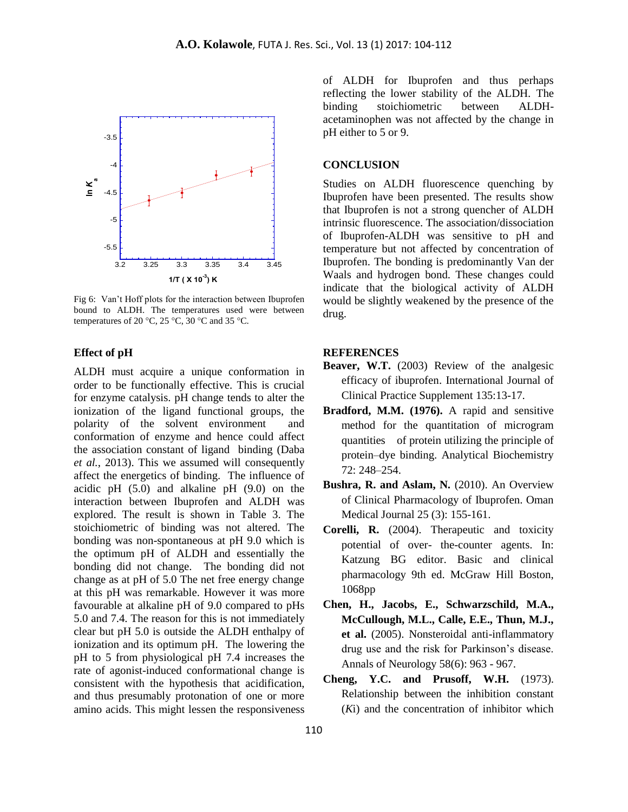

Fig 6: Van't Hoff plots for the interaction between Ibuprofen bound to ALDH. The temperatures used were between temperatures of 20 °C, 25 °C, 30 °C and 35 °C.

### **Effect of pH**

ALDH must acquire a unique conformation in order to be functionally effective. This is crucial for enzyme catalysis. pH change tends to alter the ionization of the ligand functional groups, the polarity of the solvent environment and conformation of enzyme and hence could affect the association constant of ligand binding (Daba *et al.*, 2013). This we assumed will consequently affect the energetics of binding. The influence of acidic pH (5.0) and alkaline pH (9.0) on the interaction between Ibuprofen and ALDH was explored. The result is shown in Table 3. The stoichiometric of binding was not altered. The bonding was non-spontaneous at pH 9.0 which is the optimum pH of ALDH and essentially the bonding did not change. The bonding did not change as at pH of 5.0 The net free energy change at this pH was remarkable. However it was more favourable at alkaline pH of 9.0 compared to pHs 5.0 and 7.4. The reason for this is not immediately clear but pH 5.0 is outside the ALDH enthalpy of ionization and its optimum pH. The lowering the pH to 5 from physiological pH 7.4 increases the rate of agonist-induced conformational change is consistent with the hypothesis that acidification, and thus presumably protonation of one or more amino acids. This might lessen the responsiveness

binding stoichiometric between ALDHof ALDH for Ibuprofen and thus perhaps reflecting the lower stability of the ALDH. The acetaminophen was not affected by the change in pH either to 5 or 9.

### **CONCLUSION**

Studies on ALDH fluorescence quenching by Ibuprofen have been presented. The results show that Ibuprofen is not a strong quencher of ALDH intrinsic fluorescence. The association/dissociation of Ibuprofen-ALDH was sensitive to pH and temperature but not affected by concentration of Ibuprofen. The bonding is predominantly Van der Waals and hydrogen bond. These changes could indicate that the biological activity of ALDH would be slightly weakened by the presence of the drug.

### **REFERENCES**

- **Beaver, W.T.** (2003) Review of the analgesic efficacy of ibuprofen. International Journal of Clinical Practice Supplement 135:13-17.
- **Bradford, M.M. (1976).** A rapid and sensitive method for the quantitation of microgram quantities of protein utilizing the principle of protein–dye binding. Analytical Biochemistry 72: 248–254.
- **Bushra, R. and Aslam, N.** (2010). An Overview of Clinical Pharmacology of Ibuprofen. Oman Medical Journal 25 (3): 155-161.
- **Corelli, R.** (2004). Therapeutic and toxicity potential of over- the-counter agents. In: Katzung BG editor. Basic and clinical pharmacology 9th ed. McGraw Hill Boston, 1068pp
- **Chen, H., Jacobs, E., Schwarzschild, M.A., McCullough, M.L., Calle, E.E., Thun, M.J., et al.** (2005). Nonsteroidal anti-inflammatory drug use and the risk for Parkinson's disease. Annals of Neurology 58(6): 963 - 967.
- **Cheng, Y.C. and Prusoff, W.H.** (1973). Relationship between the inhibition constant (*K*i) and the concentration of inhibitor which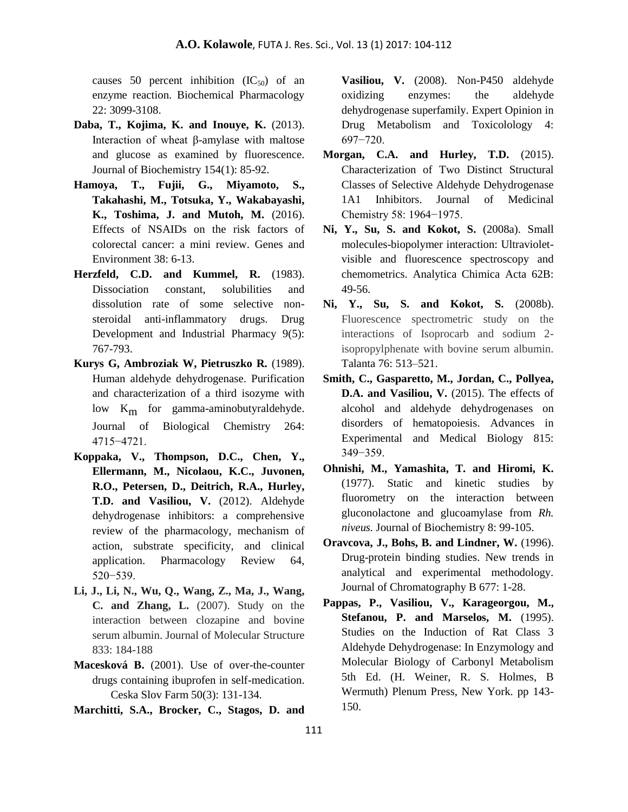causes 50 percent inhibition  $(IC_{50})$  of an enzyme reaction. Biochemical Pharmacology 22: 3099-3108.

- **Daba, T., Kojima, K. and Inouye, K.** (2013). Interaction of wheat β-amylase with maltose and glucose as examined by fluorescence. Journal of Biochemistry 154(1): 85-92.
- **Hamoya, T., Fujii, G., Miyamoto, S., Takahashi, M., Totsuka, Y., Wakabayashi, K., Toshima, J. and Mutoh, M.** (2016). Effects of NSAIDs on the risk factors of colorectal cancer: a mini review. Genes and Environment 38: 6-13.
- **Herzfeld, C.D. and Kummel, R.** (1983). Dissociation constant, solubilities and dissolution rate of some selective nonsteroidal anti-inflammatory drugs. Drug Development and Industrial Pharmacy 9(5): 767-793.
- **Kurys G, Ambroziak W, Pietruszko R.** (1989). Human aldehyde dehydrogenase. Purification and characterization of a third isozyme with low K<sub>m</sub> for gamma-aminobutyraldehyde. Journal of Biological Chemistry 264: 4715 - 4721.
- **Koppaka, V., Thompson, D.C., Chen, Y., Ellermann, M., Nicolaou, K.C., Juvonen, R.O., Petersen, D., Deitrich, R.A., Hurley, T.D. and Vasiliou, V.** (2012). Aldehyde dehydrogenase inhibitors: a comprehensive review of the pharmacology, mechanism of action, substrate specificity, and clinical application. Pharmacology Review 64, 5 20 - 539.
- **Li, J., Li, N., Wu, Q., Wang, Z., Ma, J., Wang, C. and Zhang, L.** (2007). Study on the interaction between clozapine and bovine serum albumin. Journal of Molecular Structure 833: 184-188
- **Macesková B.** (2001). Use of over-the-counter drugs containing ibuprofen in self-medication. Ceska Slov Farm 50(3): 131-134.

**Marchitti, S.A., Brocker, C., Stagos, D. and** 

**Vasiliou, V.** (2008). Non-P450 aldehyde oxidizing enzymes: the aldehyde dehydrogenase superfamily. Expert Opinion in Drug Metabolism and Toxicolology 4: 697−7 0.

- **Morgan, C.A. and Hurley, T.D.** (2015). Characterization of Two Distinct Structural Classes of Selective Aldehyde Dehydrogenase 1A1 Inhibitors. Journal of Medicinal Chemistry 58: 1964–1975.
- **Ni, Y., Su, S. and Kokot, S.** (2008a). Small molecules-biopolymer interaction: Ultravioletvisible and fluorescence spectroscopy and chemometrics. Analytica Chimica Acta 62B: 49-56.
- **Ni, Y., Su, S. and Kokot, S.** (2008b). Fluorescence spectrometric study on the interactions of Isoprocarb and sodium 2 isopropylphenate with bovine serum albumin. Talanta 76: 513–521.
- **Smith, C., Gasparetto, M., Jordan, C., Pollyea, D.A. and Vasiliou, V.** (2015). The effects of alcohol and aldehyde dehydrogenases on disorders of hematopoiesis. Advances in Experimental and Medical Biology 815: 349<sup>-359</sup>.
- **Ohnishi, M., Yamashita, T. and Hiromi, K.** (1977). Static and kinetic studies by fluorometry on the interaction between gluconolactone and glucoamylase from *Rh. niveus.* Journal of Biochemistry 8: 99-105.
- **Oravcova, J., Bohs, B. and Lindner, W.** (1996). Drug-protein binding studies. New trends in analytical and experimental methodology. Journal of Chromatography B 677: 1-28.
- **Pappas, P., Vasiliou, V., Karageorgou, M., Stefanou, P. and Marselos, M.** (1995). Studies on the Induction of Rat Class 3 Aldehyde Dehydrogenase: In Enzymology and Molecular Biology of Carbonyl Metabolism 5th Ed. (H. Weiner, R. S. Holmes, B Wermuth) Plenum Press, New York. pp 143- 150.